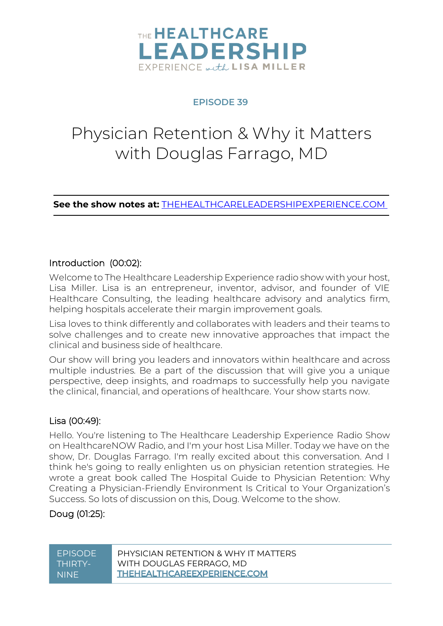

#### **EPISODE 39**

# Physician Retention & Why it Matters with Douglas Farrago, MD

**See the show notes at:** [THEHEALTHCARELEADERSHIPEXPERIENCE.COM](https://www.thehealthcareleadershipexperience.com/physician-retention-why-it-matters-with-douglas-farrago-md-episode-39/)

#### Introduction (00:02):

Welcome to The Healthcare Leadership Experience radio show with your host, Lisa Miller. Lisa is an entrepreneur, inventor, advisor, and founder of VIE Healthcare Consulting, the leading healthcare advisory and analytics firm, helping hospitals accelerate their margin improvement goals.

Lisa loves to think differently and collaborates with leaders and their teams to solve challenges and to create new innovative approaches that impact the clinical and business side of healthcare.

Our show will bring you leaders and innovators within healthcare and across multiple industries. Be a part of the discussion that will give you a unique perspective, deep insights, and roadmaps to successfully help you navigate the clinical, financial, and operations of healthcare. Your show starts now.

# Lisa (00:49):

Hello. You're listening to The Healthcare Leadership Experience Radio Show on HealthcareNOW Radio, and I'm your host Lisa Miller. Today we have on the show, Dr. Douglas Farrago. I'm really excited about this conversation. And I think he's going to really enlighten us on physician retention strategies. He wrote a great book called The Hospital Guide to Physician Retention: Why Creating a Physician-Friendly Environment Is Critical to Your Organization's Success. So lots of discussion on this, Doug. Welcome to the show.

# Doug (01:25):

| <b>FPISODE</b> | PHYSICIAN RETENTION & WHY IT MATTERS |
|----------------|--------------------------------------|
| THIRTY-        | WITH DOUGLAS FERRAGO, MD             |
| NINF           | <b>THEHEALTHCAREEXPERIENCE.COM</b>   |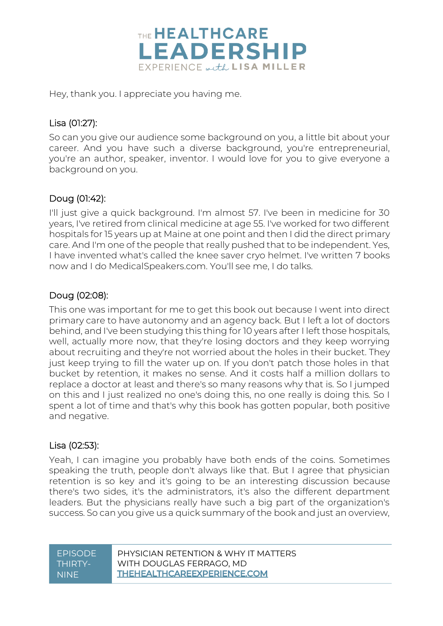

Hey, thank you. I appreciate you having me.

# Lisa (01:27):

So can you give our audience some background on you, a little bit about your career. And you have such a diverse background, you're entrepreneurial, you're an author, speaker, inventor. I would love for you to give everyone a background on you.

# Doug (01:42):

I'll just give a quick background. I'm almost 57. I've been in medicine for 30 years, I've retired from clinical medicine at age 55. I've worked for two different hospitals for 15 years up at Maine at one point and then I did the direct primary care. And I'm one of the people that really pushed that to be independent. Yes, I have invented what's called the knee saver cryo helmet. I've written 7 books now and I do MedicalSpeakers.com. You'll see me, I do talks.

# Doug (02:08):

This one was important for me to get this book out because I went into direct primary care to have autonomy and an agency back. But I left a lot of doctors behind, and I've been studying this thing for 10 years after I left those hospitals, well, actually more now, that they're losing doctors and they keep worrying about recruiting and they're not worried about the holes in their bucket. They just keep trying to fill the water up on. If you don't patch those holes in that bucket by retention, it makes no sense. And it costs half a million dollars to replace a doctor at least and there's so many reasons why that is. So I jumped on this and I just realized no one's doing this, no one really is doing this. So I spent a lot of time and that's why this book has gotten popular, both positive and negative.

#### Lisa (02:53):

Yeah, I can imagine you probably have both ends of the coins. Sometimes speaking the truth, people don't always like that. But I agree that physician retention is so key and it's going to be an interesting discussion because there's two sides, it's the administrators, it's also the different department leaders. But the physicians really have such a big part of the organization's success. So can you give us a quick summary of the book and just an overview,

| <b>FPISODE</b> | PHYSICIAN RETENTION & WHY IT MATTERS |
|----------------|--------------------------------------|
| THIRTY-        | WITH DOUGLAS FERRAGO, MD             |
| 'NINF :        | <b>THEHEALTHCAREEXPERIENCE.COM</b>   |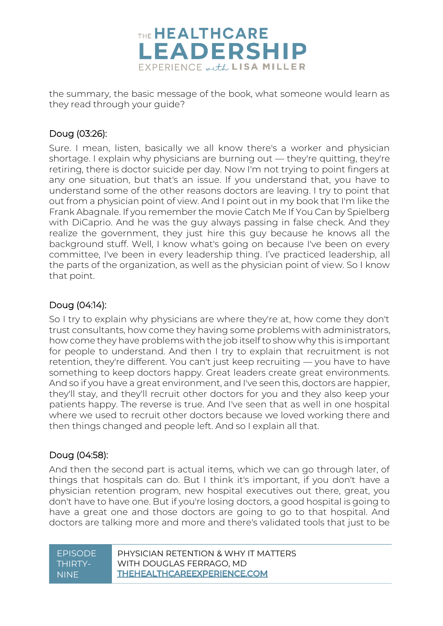

the summary, the basic message of the book, what someone would learn as they read through your guide?

# Doug (03:26):

Sure. I mean, listen, basically we all know there's a worker and physician shortage. I explain why physicians are burning out — they're quitting, they're retiring, there is doctor suicide per day. Now I'm not trying to point fingers at any one situation, but that's an issue. If you understand that, you have to understand some of the other reasons doctors are leaving. I try to point that out from a physician point of view. And I point out in my book that I'm like the Frank Abagnale. If you remember the movie Catch Me If You Can by Spielberg with DiCaprio. And he was the guy always passing in false check. And they realize the government, they just hire this guy because he knows all the background stuff. Well, I know what's going on because I've been on every committee, I've been in every leadership thing. I've practiced leadership, all the parts of the organization, as well as the physician point of view. So I know that point.

# Doug (04:14):

So I try to explain why physicians are where they're at, how come they don't trust consultants, how come they having some problems with administrators, how come they have problems with the job itself to show why this is important for people to understand. And then I try to explain that recruitment is not retention, they're different. You can't just keep recruiting — you have to have something to keep doctors happy. Great leaders create great environments. And so if you have a great environment, and I've seen this, doctors are happier, they'll stay, and they'll recruit other doctors for you and they also keep your patients happy. The reverse is true. And I've seen that as well in one hospital where we used to recruit other doctors because we loved working there and then things changed and people left. And so I explain all that.

#### Doug (04:58):

And then the second part is actual items, which we can go through later, of things that hospitals can do. But I think it's important, if you don't have a physician retention program, new hospital executives out there, great, you don't have to have one. But if you're losing doctors, a good hospital is going to have a great one and those doctors are going to go to that hospital. And doctors are talking more and more and there's validated tools that just to be

| <b>FPISODE</b> | PHYSICIAN RETENTION & WHY IT MATTERS |
|----------------|--------------------------------------|
| THIRTY-        | WITH DOUGLAS FERRAGO, MD             |
| <b>NINF</b>    | <b>THEHEALTHCAREEXPERIENCE.COM</b>   |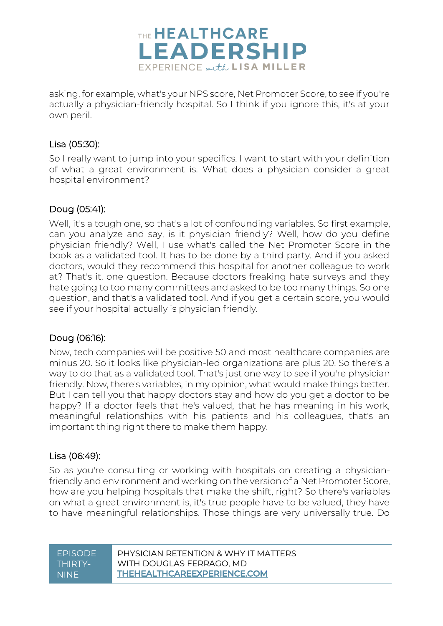

asking, for example, what's your NPS score, Net Promoter Score, to see if you're actually a physician-friendly hospital. So I think if you ignore this, it's at your own peril.

#### Lisa (05:30):

So I really want to jump into your specifics. I want to start with your definition of what a great environment is. What does a physician consider a great hospital environment?

#### Doug (05:41):

Well, it's a tough one, so that's a lot of confounding variables. So first example, can you analyze and say, is it physician friendly? Well, how do you define physician friendly? Well, I use what's called the Net Promoter Score in the book as a validated tool. It has to be done by a third party. And if you asked doctors, would they recommend this hospital for another colleague to work at? That's it, one question. Because doctors freaking hate surveys and they hate going to too many committees and asked to be too many things. So one question, and that's a validated tool. And if you get a certain score, you would see if your hospital actually is physician friendly.

# Doug (06:16):

Now, tech companies will be positive 50 and most healthcare companies are minus 20. So it looks like physician-led organizations are plus 20. So there's a way to do that as a validated tool. That's just one way to see if you're physician friendly. Now, there's variables, in my opinion, what would make things better. But I can tell you that happy doctors stay and how do you get a doctor to be happy? If a doctor feels that he's valued, that he has meaning in his work, meaningful relationships with his patients and his colleagues, that's an important thing right there to make them happy.

#### Lisa (06:49):

So as you're consulting or working with hospitals on creating a physicianfriendly and environment and working on the version of a Net Promoter Score, how are you helping hospitals that make the shift, right? So there's variables on what a great environment is, it's true people have to be valued, they have to have meaningful relationships. Those things are very universally true. Do

| <b>FPISODE</b> | PHYSICIAN RETENTION & WHY IT MATTERS |
|----------------|--------------------------------------|
| THIRTY-        | WITH DOUGLAS FERRAGO, MD             |
| NINE.          | <b>THEHEALTHCAREEXPERIENCE.COM</b>   |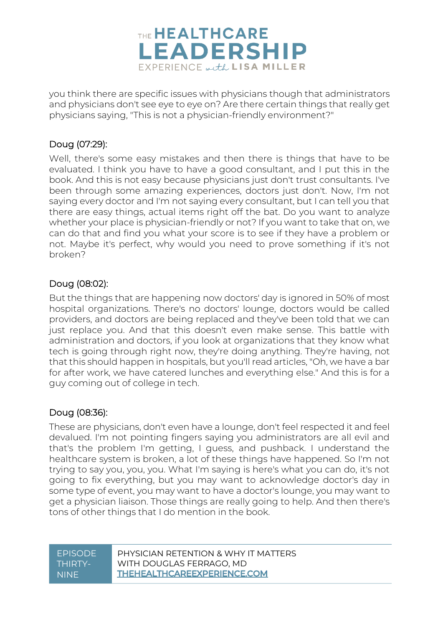

you think there are specific issues with physicians though that administrators and physicians don't see eye to eye on? Are there certain things that really get physicians saying, "This is not a physician-friendly environment?"

#### Doug (07:29):

Well, there's some easy mistakes and then there is things that have to be evaluated. I think you have to have a good consultant, and I put this in the book. And this is not easy because physicians just don't trust consultants. I've been through some amazing experiences, doctors just don't. Now, I'm not saying every doctor and I'm not saying every consultant, but I can tell you that there are easy things, actual items right off the bat. Do you want to analyze whether your place is physician-friendly or not? If you want to take that on, we can do that and find you what your score is to see if they have a problem or not. Maybe it's perfect, why would you need to prove something if it's not broken?

#### Doug (08:02):

But the things that are happening now doctors' day is ignored in 50% of most hospital organizations. There's no doctors' lounge, doctors would be called providers, and doctors are being replaced and they've been told that we can just replace you. And that this doesn't even make sense. This battle with administration and doctors, if you look at organizations that they know what tech is going through right now, they're doing anything. They're having, not that this should happen in hospitals, but you'll read articles, "Oh, we have a bar for after work, we have catered lunches and everything else." And this is for a guy coming out of college in tech.

#### Doug (08:36):

These are physicians, don't even have a lounge, don't feel respected it and feel devalued. I'm not pointing fingers saying you administrators are all evil and that's the problem I'm getting, I guess, and pushback. I understand the healthcare system is broken, a lot of these things have happened. So I'm not trying to say you, you, you. What I'm saying is here's what you can do, it's not going to fix everything, but you may want to acknowledge doctor's day in some type of event, you may want to have a doctor's lounge, you may want to get a physician liaison. Those things are really going to help. And then there's tons of other things that I do mention in the book.

| <b>FPISODE</b> | PHYSICIAN RETENTION & WHY IT MATTERS |
|----------------|--------------------------------------|
| THIRTY-        | WITH DOUGLAS FERRAGO, MD             |
| ' NINF.        | <b>THEHEALTHCAREEXPERIENCE.COM</b>   |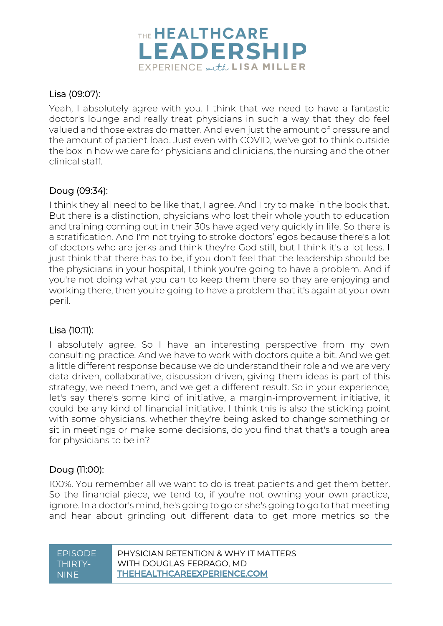

#### Lisa (09:07):

Yeah, I absolutely agree with you. I think that we need to have a fantastic doctor's lounge and really treat physicians in such a way that they do feel valued and those extras do matter. And even just the amount of pressure and the amount of patient load. Just even with COVID, we've got to think outside the box in how we care for physicians and clinicians, the nursing and the other clinical staff.

#### Doug (09:34):

I think they all need to be like that, I agree. And I try to make in the book that. But there is a distinction, physicians who lost their whole youth to education and training coming out in their 30s have aged very quickly in life. So there is a stratification. And I'm not trying to stroke doctors' egos because there's a lot of doctors who are jerks and think they're God still, but I think it's a lot less. I just think that there has to be, if you don't feel that the leadership should be the physicians in your hospital, I think you're going to have a problem. And if you're not doing what you can to keep them there so they are enjoying and working there, then you're going to have a problem that it's again at your own peril.

# Lisa (10:11):

I absolutely agree. So I have an interesting perspective from my own consulting practice. And we have to work with doctors quite a bit. And we get a little different response because we do understand their role and we are very data driven, collaborative, discussion driven, giving them ideas is part of this strategy, we need them, and we get a different result. So in your experience, let's say there's some kind of initiative, a margin-improvement initiative, it could be any kind of financial initiative, I think this is also the sticking point with some physicians, whether they're being asked to change something or sit in meetings or make some decisions, do you find that that's a tough area for physicians to be in?

#### Doug (11:00):

100%. You remember all we want to do is treat patients and get them better. So the financial piece, we tend to, if you're not owning your own practice, ignore. In a doctor's mind, he's going to go or she's going to go to that meeting and hear about grinding out different data to get more metrics so the

| <b>FPISODE</b> | PHYSICIAN RETENTION & WHY IT MATTERS |
|----------------|--------------------------------------|
| THIRTY-        | WITH DOUGLAS FERRAGO, MD             |
| <b>NINE</b>    | <b>THEHEALTHCAREEXPERIENCE.COM</b>   |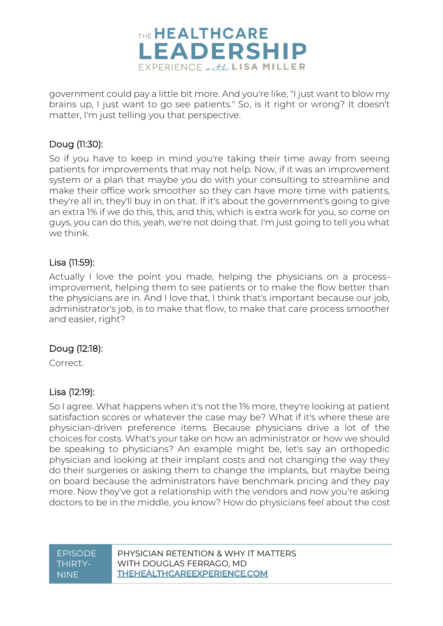

government could pay a little bit more. And you're like, "I just want to blow my brains up, I just want to go see patients." So, is it right or wrong? It doesn't matter, I'm just telling you that perspective.

#### Doug (11:30):

So if you have to keep in mind you're taking their time away from seeing patients for improvements that may not help. Now, if it was an improvement system or a plan that maybe you do with your consulting to streamline and make their office work smoother so they can have more time with patients, they're all in, they'll buy in on that. If it's about the government's going to give an extra 1% if we do this, this, and this, which is extra work for you, so come on guys, you can do this, yeah, we're not doing that. I'm just going to tell you what we think.

#### Lisa (11:59):

Actually I love the point you made, helping the physicians on a processimprovement, helping them to see patients or to make the flow better than the physicians are in. And I love that, I think that's important because our job, administrator's job, is to make that flow, to make that care process smoother and easier, right?

# Doug (12:18):

Correct.

#### Lisa (12:19):

So I agree. What happens when it's not the 1% more, they're looking at patient satisfaction scores or whatever the case may be? What if it's where these are physician-driven preference items. Because physicians drive a lot of the choices for costs. What's your take on how an administrator or how we should be speaking to physicians? An example might be, let's say an orthopedic physician and looking at their implant costs and not changing the way they do their surgeries or asking them to change the implants, but maybe being on board because the administrators have benchmark pricing and they pay more. Now they've got a relationship with the vendors and now you're asking doctors to be in the middle, you know? How do physicians feel about the cost

| <b>FPISODE</b> | PHYSICIAN RETENTION & WHY IT MATTERS |
|----------------|--------------------------------------|
| THIRTY-        | WITH DOUGLAS FERRAGO, MD             |
| <b>NINE</b>    | <b>THEHEALTHCAREEXPERIENCE.COM</b>   |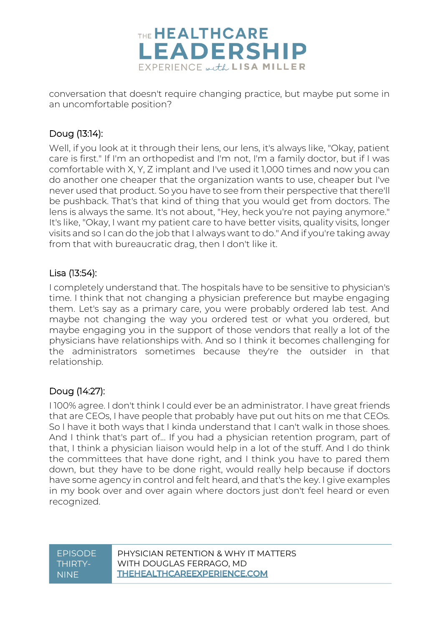

conversation that doesn't require changing practice, but maybe put some in an uncomfortable position?

# Doug (13:14):

Well, if you look at it through their lens, our lens, it's always like, "Okay, patient care is first." If I'm an orthopedist and I'm not, I'm a family doctor, but if I was comfortable with X, Y, Z implant and I've used it 1,000 times and now you can do another one cheaper that the organization wants to use, cheaper but I've never used that product. So you have to see from their perspective that there'll be pushback. That's that kind of thing that you would get from doctors. The lens is always the same. It's not about, "Hey, heck you're not paying anymore." It's like, "Okay, I want my patient care to have better visits, quality visits, longer visits and so I can do the job that I always want to do." And if you're taking away from that with bureaucratic drag, then I don't like it.

# Lisa (13:54):

I completely understand that. The hospitals have to be sensitive to physician's time. I think that not changing a physician preference but maybe engaging them. Let's say as a primary care, you were probably ordered lab test. And maybe not changing the way you ordered test or what you ordered, but maybe engaging you in the support of those vendors that really a lot of the physicians have relationships with. And so I think it becomes challenging for the administrators sometimes because they're the outsider in that relationship.

# Doug (14:27):

I 100% agree. I don't think I could ever be an administrator. I have great friends that are CEOs, I have people that probably have put out hits on me that CEOs. So I have it both ways that I kinda understand that I can't walk in those shoes. And I think that's part of... If you had a physician retention program, part of that, I think a physician liaison would help in a lot of the stuff. And I do think the committees that have done right, and I think you have to pared them down, but they have to be done right, would really help because if doctors have some agency in control and felt heard, and that's the key. I give examples in my book over and over again where doctors just don't feel heard or even recognized.

| EPISODE. | PHYSICIAN RETENTION & WHY IT MATTERS |
|----------|--------------------------------------|
| THIRTY-  | WITH DOUGLAS FERRAGO, MD             |
| NINE.    | <b>THEHEALTHCAREEXPERIENCE.COM</b>   |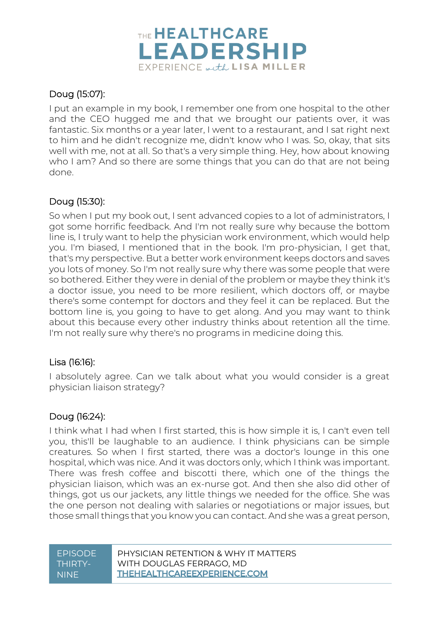

# Doug (15:07):

I put an example in my book, I remember one from one hospital to the other and the CEO hugged me and that we brought our patients over, it was fantastic. Six months or a year later, I went to a restaurant, and I sat right next to him and he didn't recognize me, didn't know who I was. So, okay, that sits well with me, not at all. So that's a very simple thing. Hey, how about knowing who I am? And so there are some things that you can do that are not being done.

#### Doug (15:30):

So when I put my book out, I sent advanced copies to a lot of administrators, I got some horrific feedback. And I'm not really sure why because the bottom line is, I truly want to help the physician work environment, which would help you. I'm biased, I mentioned that in the book. I'm pro-physician, I get that, that's my perspective. But a better work environment keeps doctors and saves you lots of money. So I'm not really sure why there was some people that were so bothered. Either they were in denial of the problem or maybe they think it's a doctor issue, you need to be more resilient, which doctors off, or maybe there's some contempt for doctors and they feel it can be replaced. But the bottom line is, you going to have to get along. And you may want to think about this because every other industry thinks about retention all the time. I'm not really sure why there's no programs in medicine doing this.

# Lisa (16:16):

I absolutely agree. Can we talk about what you would consider is a great physician liaison strategy?

# Doug (16:24):

I think what I had when I first started, this is how simple it is, I can't even tell you, this'll be laughable to an audience. I think physicians can be simple creatures. So when I first started, there was a doctor's lounge in this one hospital, which was nice. And it was doctors only, which I think was important. There was fresh coffee and biscotti there, which one of the things the physician liaison, which was an ex-nurse got. And then she also did other of things, got us our jackets, any little things we needed for the office. She was the one person not dealing with salaries or negotiations or major issues, but those small things that you know you can contact. And she was a great person,

| <b>FPISODE</b> | PHYSICIAN RETENTION & WHY IT MATTERS |
|----------------|--------------------------------------|
| THIRTY-        | WITH DOUGLAS FERRAGO, MD             |
| <b>NINE</b>    | <b>THEHEALTHCAREEXPERIENCE.COM</b>   |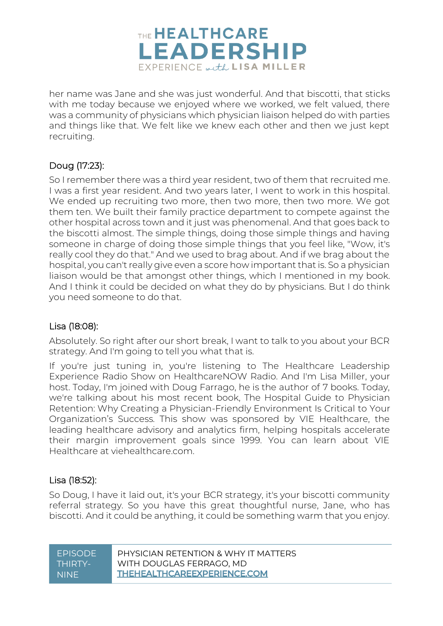

her name was Jane and she was just wonderful. And that biscotti, that sticks with me today because we enjoyed where we worked, we felt valued, there was a community of physicians which physician liaison helped do with parties and things like that. We felt like we knew each other and then we just kept recruiting.

# Doug (17:23):

So I remember there was a third year resident, two of them that recruited me. I was a first year resident. And two years later, I went to work in this hospital. We ended up recruiting two more, then two more, then two more. We got them ten. We built their family practice department to compete against the other hospital across town and it just was phenomenal. And that goes back to the biscotti almost. The simple things, doing those simple things and having someone in charge of doing those simple things that you feel like, "Wow, it's really cool they do that." And we used to brag about. And if we brag about the hospital, you can't really give even a score how important that is. So a physician liaison would be that amongst other things, which I mentioned in my book. And I think it could be decided on what they do by physicians. But I do think you need someone to do that.

#### Lisa (18:08):

Absolutely. So right after our short break, I want to talk to you about your BCR strategy. And I'm going to tell you what that is.

If you're just tuning in, you're listening to The Healthcare Leadership Experience Radio Show on HealthcareNOW Radio. And I'm Lisa Miller, your host. Today, I'm joined with Doug Farrago, he is the author of 7 books. Today, we're talking about his most recent book, The Hospital Guide to Physician Retention: Why Creating a Physician-Friendly Environment Is Critical to Your Organization's Success. This show was sponsored by VIE Healthcare, the leading healthcare advisory and analytics firm, helping hospitals accelerate their margin improvement goals since 1999. You can learn about VIE Healthcare at viehealthcare.com.

#### Lisa (18:52):

So Doug, I have it laid out, it's your BCR strategy, it's your biscotti community referral strategy. So you have this great thoughtful nurse, Jane, who has biscotti. And it could be anything, it could be something warm that you enjoy.

| <b>FPISODE</b> | PHYSICIAN RETENTION & WHY IT MATTERS |
|----------------|--------------------------------------|
| THIRTY-        | WITH DOUGLAS FERRAGO, MD             |
| 'NINF i        | <b>THEHEALTHCAREEXPERIENCE.COM</b>   |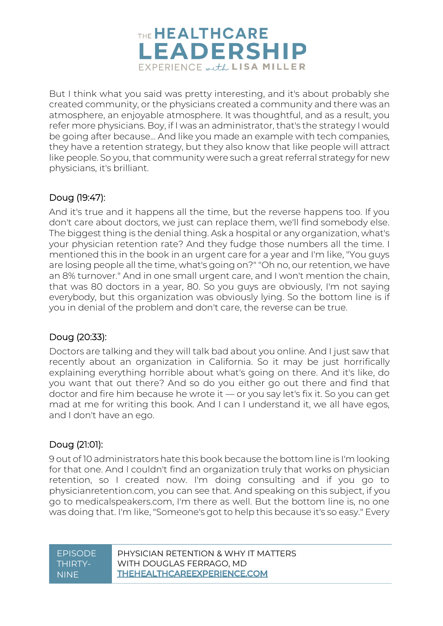

But I think what you said was pretty interesting, and it's about probably she created community, or the physicians created a community and there was an atmosphere, an enjoyable atmosphere. It was thoughtful, and as a result, you refer more physicians. Boy, if I was an administrator, that's the strategy I would be going after because... And like you made an example with tech companies, they have a retention strategy, but they also know that like people will attract like people. So you, that community were such a great referral strategy for new physicians, it's brilliant.

# Doug (19:47):

And it's true and it happens all the time, but the reverse happens too. If you don't care about doctors, we just can replace them, we'll find somebody else. The biggest thing is the denial thing. Ask a hospital or any organization, what's your physician retention rate? And they fudge those numbers all the time. I mentioned this in the book in an urgent care for a year and I'm like, "You guys are losing people all the time, what's going on?" "Oh no, our retention, we have an 8% turnover." And in one small urgent care, and I won't mention the chain, that was 80 doctors in a year, 80. So you guys are obviously, I'm not saying everybody, but this organization was obviously lying. So the bottom line is if you in denial of the problem and don't care, the reverse can be true.

# Doug (20:33):

Doctors are talking and they will talk bad about you online. And I just saw that recently about an organization in California. So it may be just horrifically explaining everything horrible about what's going on there. And it's like, do you want that out there? And so do you either go out there and find that doctor and fire him because he wrote it — or you say let's fix it. So you can get mad at me for writing this book. And I can I understand it, we all have egos, and I don't have an ego.

# Doug (21:01):

9 out of 10 administrators hate this book because the bottom line is I'm looking for that one. And I couldn't find an organization truly that works on physician retention, so I created now. I'm doing consulting and if you go to physicianretention.com, you can see that. And speaking on this subject, if you go to medicalspeakers.com, I'm there as well. But the bottom line is, no one was doing that. I'm like, "Someone's got to help this because it's so easy." Every

| <b>EPISODE</b> | PHYSICIAN RETENTION & WHY IT MATTERS |
|----------------|--------------------------------------|
| LTHIRTY-'      | WITH DOUGLAS FERRAGO, MD             |
| <b>NINF</b>    | <b>THEHEALTHCAREEXPERIENCE.COM</b>   |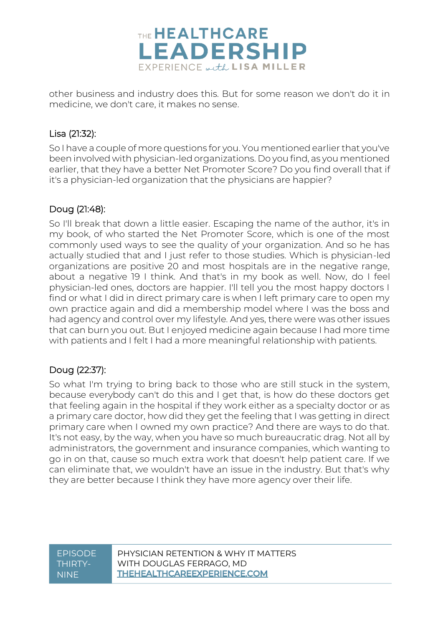

other business and industry does this. But for some reason we don't do it in medicine, we don't care, it makes no sense.

# Lisa (21:32):

So I have a couple of more questions for you. You mentioned earlier that you've been involved with physician-led organizations. Do you find, as you mentioned earlier, that they have a better Net Promoter Score? Do you find overall that if it's a physician-led organization that the physicians are happier?

# Doug (21:48):

So I'll break that down a little easier. Escaping the name of the author, it's in my book, of who started the Net Promoter Score, which is one of the most commonly used ways to see the quality of your organization. And so he has actually studied that and I just refer to those studies. Which is physician-led organizations are positive 20 and most hospitals are in the negative range, about a negative 19 I think. And that's in my book as well. Now, do I feel physician-led ones, doctors are happier. I'll tell you the most happy doctors I find or what I did in direct primary care is when I left primary care to open my own practice again and did a membership model where I was the boss and had agency and control over my lifestyle. And yes, there were was other issues that can burn you out. But I enjoyed medicine again because I had more time with patients and I felt I had a more meaningful relationship with patients.

# Doug (22:37):

So what I'm trying to bring back to those who are still stuck in the system, because everybody can't do this and I get that, is how do these doctors get that feeling again in the hospital if they work either as a specialty doctor or as a primary care doctor, how did they get the feeling that I was getting in direct primary care when I owned my own practice? And there are ways to do that. It's not easy, by the way, when you have so much bureaucratic drag. Not all by administrators, the government and insurance companies, which wanting to go in on that, cause so much extra work that doesn't help patient care. If we can eliminate that, we wouldn't have an issue in the industry. But that's why they are better because I think they have more agency over their life.

| PHYSICIAN RETENTION & WHY IT MATTERS |
|--------------------------------------|
| WITH DOUGLAS FERRAGO, MD             |
| <b>THEHEALTHCAREEXPERIENCE.COM</b>   |
|                                      |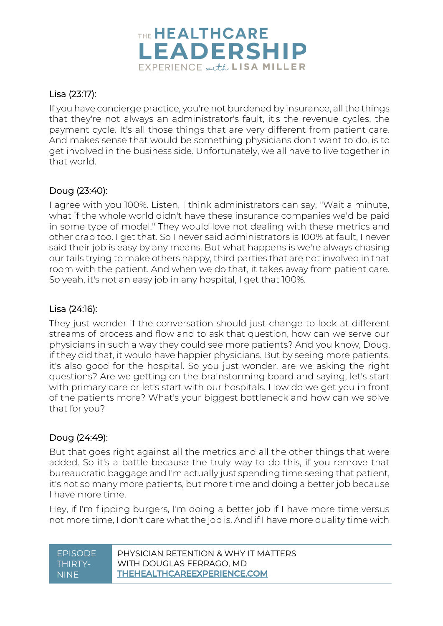

# Lisa (23:17):

If you have concierge practice, you're not burdened by insurance, all the things that they're not always an administrator's fault, it's the revenue cycles, the payment cycle. It's all those things that are very different from patient care. And makes sense that would be something physicians don't want to do, is to get involved in the business side. Unfortunately, we all have to live together in that world.

# Doug (23:40):

I agree with you 100%. Listen, I think administrators can say, "Wait a minute, what if the whole world didn't have these insurance companies we'd be paid in some type of model." They would love not dealing with these metrics and other crap too. I get that. So I never said administrators is 100% at fault, I never said their job is easy by any means. But what happens is we're always chasing our tails trying to make others happy, third parties that are not involved in that room with the patient. And when we do that, it takes away from patient care. So yeah, it's not an easy job in any hospital, I get that 100%.

#### Lisa (24:16):

They just wonder if the conversation should just change to look at different streams of process and flow and to ask that question, how can we serve our physicians in such a way they could see more patients? And you know, Doug, if they did that, it would have happier physicians. But by seeing more patients, it's also good for the hospital. So you just wonder, are we asking the right questions? Are we getting on the brainstorming board and saying, let's start with primary care or let's start with our hospitals. How do we get you in front of the patients more? What's your biggest bottleneck and how can we solve that for you?

# Doug (24:49):

But that goes right against all the metrics and all the other things that were added. So it's a battle because the truly way to do this, if you remove that bureaucratic baggage and I'm actually just spending time seeing that patient, it's not so many more patients, but more time and doing a better job because I have more time.

Hey, if I'm flipping burgers, I'm doing a better job if I have more time versus not more time, I don't care what the job is. And if I have more quality time with

| <b>EPISODE</b> | PHYSICIAN RETENTION & WHY IT MATTERS |
|----------------|--------------------------------------|
| THIRTY-        | WITH DOUGLAS FERRAGO, MD             |
| <b>NINE</b>    | <b>THEHEALTHCAREEXPERIENCE.COM</b>   |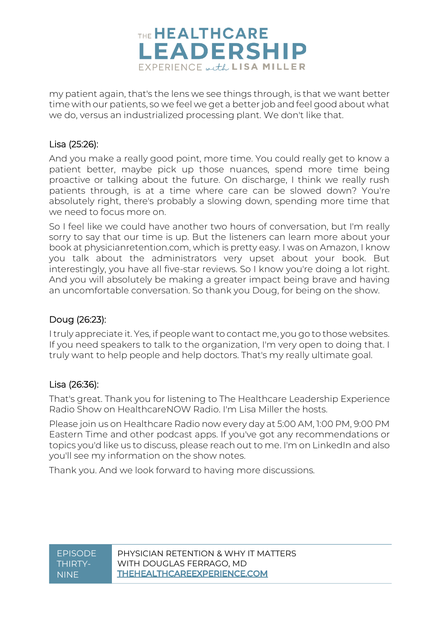

my patient again, that's the lens we see things through, is that we want better time with our patients, so we feel we get a better job and feel good about what we do, versus an industrialized processing plant. We don't like that.

#### Lisa (25:26):

And you make a really good point, more time. You could really get to know a patient better, maybe pick up those nuances, spend more time being proactive or talking about the future. On discharge, I think we really rush patients through, is at a time where care can be slowed down? You're absolutely right, there's probably a slowing down, spending more time that we need to focus more on.

So I feel like we could have another two hours of conversation, but I'm really sorry to say that our time is up. But the listeners can learn more about your book at physicianretention.com, which is pretty easy. I was on Amazon, I know you talk about the administrators very upset about your book. But interestingly, you have all five-star reviews. So I know you're doing a lot right. And you will absolutely be making a greater impact being brave and having an uncomfortable conversation. So thank you Doug, for being on the show.

#### Doug (26:23):

I truly appreciate it. Yes, if people want to contact me, you go to those websites. If you need speakers to talk to the organization, I'm very open to doing that. I truly want to help people and help doctors. That's my really ultimate goal.

#### Lisa (26:36):

That's great. Thank you for listening to The Healthcare Leadership Experience Radio Show on HealthcareNOW Radio. I'm Lisa Miller the hosts.

Please join us on Healthcare Radio now every day at 5:00 AM, 1:00 PM, 9:00 PM Eastern Time and other podcast apps. If you've got any recommendations or topics you'd like us to discuss, please reach out to me. I'm on LinkedIn and also you'll see my information on the show notes.

Thank you. And we look forward to having more discussions.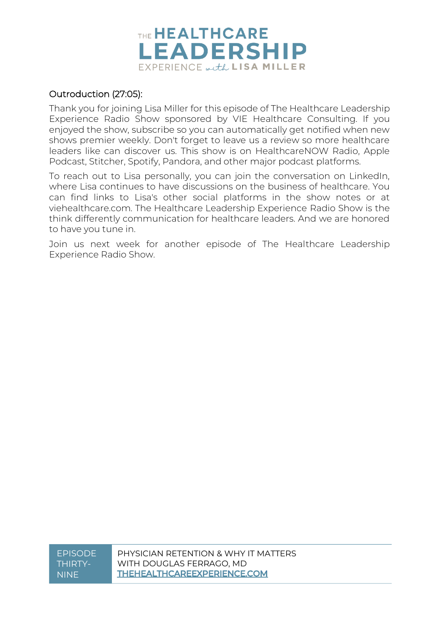

#### Outroduction (27:05):

Thank you for joining Lisa Miller for this episode of The Healthcare Leadership Experience Radio Show sponsored by VIE Healthcare Consulting. If you enjoyed the show, subscribe so you can automatically get notified when new shows premier weekly. Don't forget to leave us a review so more healthcare leaders like can discover us. This show is on HealthcareNOW Radio, Apple Podcast, Stitcher, Spotify, Pandora, and other major podcast platforms.

To reach out to Lisa personally, you can join the conversation on LinkedIn, where Lisa continues to have discussions on the business of healthcare. You can find links to Lisa's other social platforms in the show notes or at viehealthcare.com. The Healthcare Leadership Experience Radio Show is the think differently communication for healthcare leaders. And we are honored to have you tune in.

Join us next week for another episode of The Healthcare Leadership Experience Radio Show.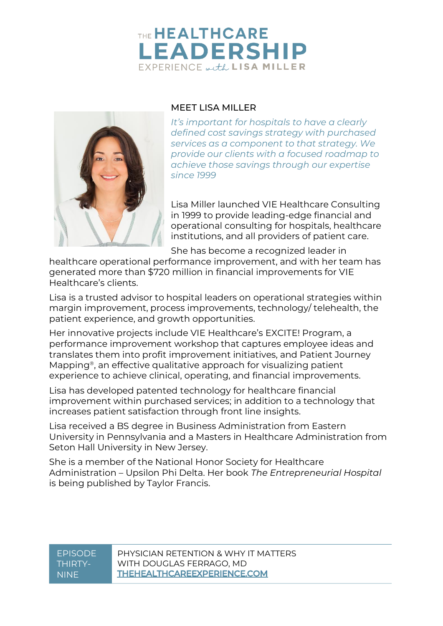# THE **HEALTHCARE LEADERSHIP** EXPERIENCE with LISA MILLER



#### MEET LISA MILLER

*It's important for hospitals to have a clearly defined cost savings strategy with purchased services as a component to that strategy. We provide our clients with a focused roadmap to achieve those savings through our expertise since 1999*

Lisa Miller launched VIE Healthcare Consulting in 1999 to provide leading-edge financial and operational consulting for hospitals, healthcare institutions, and all providers of patient care.

She has become a recognized leader in

healthcare operational performance improvement, and with her team has generated more than \$720 million in financial improvements for VIE Healthcare's clients.

Lisa is a trusted advisor to hospital leaders on operational strategies within margin improvement, process improvements, technology/ telehealth, the patient experience, and growth opportunities.

Her innovative projects include VIE Healthcare's EXCITE! Program, a performance improvement workshop that captures employee ideas and translates them into profit improvement initiatives, and Patient Journey Mapping®, an effective qualitative approach for visualizing patient experience to achieve clinical, operating, and financial improvements.

Lisa has developed patented technology for healthcare financial improvement within purchased services; in addition to a technology that increases patient satisfaction through front line insights.

Lisa received a BS degree in Business Administration from Eastern University in Pennsylvania and a Masters in Healthcare Administration from Seton Hall University in New Jersey.

She is a member of the National Honor Society for Healthcare Administration – Upsilon Phi Delta. Her book *The Entrepreneurial Hospital* is being published by Taylor Francis.

| EPISODE  | PHYSICIAN RETENTION & WHY IT MATTERS |
|----------|--------------------------------------|
| THIRTY-  | WITH DOUGLAS FERRAGO, MD             |
| ' NINE I | <b>THEHEALTHCAREEXPERIENCE.COM</b>   |